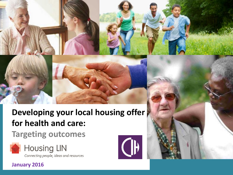# **Developing your local housing offer for health and care:**

## **Targeting outcomes**







### **January 2016**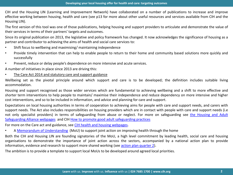CIH and the Housing LIN (Learning and Improvement Network) have collaborated on a number of publications to increase and improve effective working between housing, health and care (see p13 for more about other useful resources and services available from CIH and the Housing LIN).

The first version of this tool was one of those publications, helping housing and support providers to articulate and demonstrate the value of their services in terms of their partners' targets and outcomes.

Since its original publication on 2013, the legislative and policy framework has changed. It now acknowledges the significance of housing as a partner and contributor to achieving the aims of health and social care services to:

- Shift focus to wellbeing and maximising/ maintaining independence
- Provide timely intervention that can help to enable people to return to their home and community based solutions more quickly and successfully
- Prevent, reduce or delay people's dependence on more intensive and acute services.

A number of initiatives in place since 2013 are driving this:

• The Care Act 2014 and statutory care and support guidance

Wellbeing set as the pivotal principle around which support and care is to be developed; the definition includes suitable living accommodation.

Housing and support recognised as those wider services which are fundamental to achieving wellbeing and a shift to more effective and shorter term interventions to help people to maintain/ maximise their independence and reduce dependency on more intensive and higher cost interventions, and so to be included in information, and advice and planning for care and support.

Expectations on local housing authorities in terms of cooperation to achieving aims for people with care and support needs, and carers with support needs. The Act also includes responsibilities on housing providers which are in contact with people with care and support needs (i.e not only specialist providers) in terms of safeguarding from abuse or neglect. For more on safeguarding see [the](http://www.housinglin.org.uk/Topics/browse/CareAndSupportatHome/AdultSafeguarding/?parent=9016&child=8914) [Housing](http://www.housinglin.org.uk/Topics/browse/CareAndSupportatHome/AdultSafeguarding/?parent=9016&child=8914) [and](http://www.housinglin.org.uk/Topics/browse/CareAndSupportatHome/AdultSafeguarding/?parent=9016&child=8914) [Adult](http://www.housinglin.org.uk/Topics/browse/CareAndSupportatHome/AdultSafeguarding/?parent=9016&child=8914) [Safeguarding](http://www.housinglin.org.uk/Topics/browse/CareAndSupportatHome/AdultSafeguarding/?parent=9016&child=8914) [Alliance](http://www.housinglin.org.uk/Topics/browse/CareAndSupportatHome/AdultSafeguarding/?parent=9016&child=8914) [webpages](http://www.housinglin.org.uk/Topics/browse/CareAndSupportatHome/AdultSafeguarding/?parent=9016&child=8914) and CIH [How](http://www.cih.org/publication-free/display/vpathDCR/templatedata/cih/publication-free/data/How_to_promote_good_adult_safeguarding_practice) [to](http://www.cih.org/publication-free/display/vpathDCR/templatedata/cih/publication-free/data/How_to_promote_good_adult_safeguarding_practice) [promote](http://www.cih.org/publication-free/display/vpathDCR/templatedata/cih/publication-free/data/How_to_promote_good_adult_safeguarding_practice) [good](http://www.cih.org/publication-free/display/vpathDCR/templatedata/cih/publication-free/data/How_to_promote_good_adult_safeguarding_practice) [adult](http://www.cih.org/publication-free/display/vpathDCR/templatedata/cih/publication-free/data/How_to_promote_good_adult_safeguarding_practice) [safeguarding](http://www.cih.org/publication-free/display/vpathDCR/templatedata/cih/publication-free/data/How_to_promote_good_adult_safeguarding_practice) [practices](http://www.cih.org/publication-free/display/vpathDCR/templatedata/cih/publication-free/data/How_to_promote_good_adult_safeguarding_practice)

For more on the Care act and guidance, see [CIH](http://www.cih.org/healthandhousing) [health](http://www.cih.org/healthandhousing) [and](http://www.cih.org/healthandhousing) [housing](http://www.cih.org/healthandhousing) [webpages.](http://www.cih.org/healthandhousing)

• A [Memorandum](http://www.cih.org/healthandhousing) [of](http://www.cih.org/healthandhousing) [Understanding](http://www.cih.org/healthandhousing) (MoU) to support joint action on improving health through the home

Both the CIH and Housing LIN are founding signatories of the MoU, a high level commitment by leading health, social care and housing organisations to demonstrate the importance of joint action across the sectors, accompanied by a national action plan to provide information, evidence and research to support more shared working (see [action](http://www.cih.org/resources/policy/CIH briefing papers/Housing and health memorandum 2015-16 delivery plan - Quarter 2 update final 3-8-15.pdf) [plan](http://www.cih.org/resources/policy/CIH briefing papers/Housing and health memorandum 2015-16 delivery plan - Quarter 2 update final 3-8-15.pdf) [quarter](http://www.cih.org/resources/policy/CIH briefing papers/Housing and health memorandum 2015-16 delivery plan - Quarter 2 update final 3-8-15.pdf) [2](http://www.cih.org/resources/policy/CIH briefing papers/Housing and health memorandum 2015-16 delivery plan - Quarter 2 update final 3-8-15.pdf)).

The ambition is to provide a template to support local MoUs to be developed around agreed local priorities.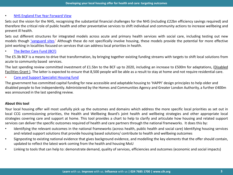#### • [NHS](https://www.england.nhs.uk/wp-content/uploads/2014/10/5yfv-web.pdf) [England](https://www.england.nhs.uk/wp-content/uploads/2014/10/5yfv-web.pdf) [Five](https://www.england.nhs.uk/wp-content/uploads/2014/10/5yfv-web.pdf) [Year](https://www.england.nhs.uk/wp-content/uploads/2014/10/5yfv-web.pdf) [Forward](https://www.england.nhs.uk/wp-content/uploads/2014/10/5yfv-web.pdf) [View](https://www.england.nhs.uk/wp-content/uploads/2014/10/5yfv-web.pdf)

Sets out the vision for the NHS, recognising the substantial financial challenges for the NHS (including £22bn efficiency savings required) and therefore the critical role of public health and other preventative services to shift individual and community actions to increase wellbeing and prevent ill health.

Sets out different structures for integrated models across acute and primary health services with social care, including testing out new models though ['vanguard](https://www.england.nhs.uk/ourwork/ futurenhs/new-care-models/) [sites](https://www.england.nhs.uk/ourwork/ futurenhs/new-care-models/).' Although these do not specifically involve housing, these models provide the potential for more effective joint working in localities focused on services that can address local priorities in health.

• [The](https://www.england.nhs.uk/ourwork/part-rel/transformation-fund/bcf-plan/) [Better](https://www.england.nhs.uk/ourwork/part-rel/transformation-fund/bcf-plan/) [Care](https://www.england.nhs.uk/ourwork/part-rel/transformation-fund/bcf-plan/) [Fund](https://www.england.nhs.uk/ourwork/part-rel/transformation-fund/bcf-plan/) [\(BCF\)](https://www.england.nhs.uk/ourwork/part-rel/transformation-fund/bcf-plan/)

The £5.3b BCF is a means to drive that transformation, by bringing together existing funding streams with targets to shift local solutions from acute to community based services.

The last spending review committed investment of £1.5bn to the BCF up to 2020, including an increase to £500m for adaptations, (Disabled Facilities Grant ). The latter is expected to ensure that 8,500 people will be able as a result to stay at home and not require residential care.

• [Care and Support Specialist Housing fund](http://www.housinglin.org.uk/Topics/browse/HousingExtraCare/FundingExtraCareHousing/DHCapitalFundingProgramme/CASSHF2013-15/)

The government has committed capital funding for new accessible and adaptable housing to 'HAPPI' design principles to help older and disabled people to live independently. Administered by the Homes and Communities Agency and Greater London Authority, a further £400m was announced in the last spending review.

#### **About this tool**

Your local housing offer will most usefully pick up the outcomes and domains which address the more specific local priorities as set out in local CCG commissioning priorities, the Health and Wellbeing Board's joint health and wellbeing strategies and other appropriate local strategies covering care and support at home. This tool provides a chart to help to clarify and articulate how housing and related support services can deliver the specific outcomes required of health and care partners through the national frameworks. It does this by:

- Identifying the relevant outcomes in the national frameworks (across health, public health and social care) Identifying housing services and related support solutions that provide housing based solutions/ contribute to health and wellbeing outcomes
- Signposting to existing national evidence that gives background evidence, and modelling the key elements that the offer should contain, updated to reflect the latest work coming from the health and housing MoU
- Linking to tools that can help to: demonstrate demand, quality of services, efficiencies and outcomes (economic and social impacts)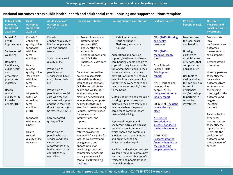| <b>Public health</b><br>outcomes<br>framework<br>2013-16                                                                                                                                                                           | <b>Health</b><br>outcomes<br>framework<br>2015-16                                                                                                                                                                                                                                                                                                         | <b>Adult social care</b><br>outcomes issued<br>2015-16                                                                                                                                                                                                                                                                                                                                                                                                                                                                                                                   | <b>Housing contribution</b>                                                                                                                                                                                                                                                                                                                                                                                                                                                                                                                                                                                                                                                                                                                                                                                                        | <b>Housing support contribution</b>                                                                                                                                                                                                                                                                                                                                                                                                                                                                                                                                                                                                                                                                                                                                                                                                                                                                                                                                                         | <b>Evidence sources</b>                                                                                                                                                                                                                                                                                                                                                                                                                                                                                                                | <b>Cost and</b><br>benefit analysis                                                                                                                                                                                                                                                                   | <b>Outcomes</b><br>measures and<br><b>Social Return On</b><br>Investment                                                                                                                                                                                                                                                                                                                                                                                                                               |
|------------------------------------------------------------------------------------------------------------------------------------------------------------------------------------------------------------------------------------|-----------------------------------------------------------------------------------------------------------------------------------------------------------------------------------------------------------------------------------------------------------------------------------------------------------------------------------------------------------|--------------------------------------------------------------------------------------------------------------------------------------------------------------------------------------------------------------------------------------------------------------------------------------------------------------------------------------------------------------------------------------------------------------------------------------------------------------------------------------------------------------------------------------------------------------------------|------------------------------------------------------------------------------------------------------------------------------------------------------------------------------------------------------------------------------------------------------------------------------------------------------------------------------------------------------------------------------------------------------------------------------------------------------------------------------------------------------------------------------------------------------------------------------------------------------------------------------------------------------------------------------------------------------------------------------------------------------------------------------------------------------------------------------------|---------------------------------------------------------------------------------------------------------------------------------------------------------------------------------------------------------------------------------------------------------------------------------------------------------------------------------------------------------------------------------------------------------------------------------------------------------------------------------------------------------------------------------------------------------------------------------------------------------------------------------------------------------------------------------------------------------------------------------------------------------------------------------------------------------------------------------------------------------------------------------------------------------------------------------------------------------------------------------------------|----------------------------------------------------------------------------------------------------------------------------------------------------------------------------------------------------------------------------------------------------------------------------------------------------------------------------------------------------------------------------------------------------------------------------------------------------------------------------------------------------------------------------------------|-------------------------------------------------------------------------------------------------------------------------------------------------------------------------------------------------------------------------------------------------------------------------------------------------------|--------------------------------------------------------------------------------------------------------------------------------------------------------------------------------------------------------------------------------------------------------------------------------------------------------------------------------------------------------------------------------------------------------------------------------------------------------------------------------------------------------|
| Domain 2:<br>health<br>improvement<br>Self-reported<br>wellbeing<br>Domain 4:<br>health care,<br>public health<br>and<br>preventing<br>premature<br>mortality<br>Health<br>related<br>quality of life<br>for older<br>people (TBD) | Domain 2:<br>enhancing<br>quality of life<br>for people<br>with long<br>term<br>conditions<br>Health<br>related<br>quality of life:<br>for people<br>with long<br>term<br>conditions<br>for people<br>with 3 or<br>more long<br>term<br>conditions<br>(TBD)<br>for people<br>with mental<br>illness<br>Health<br>related<br>quality of life<br>for carers | Domain 1:<br>enhancing quality of<br>life for people with<br>care and support<br>needs<br>Social care related<br>quality of life<br>Proportion of<br>people using<br>services who have<br>control over their<br>life<br>Proportion of<br>people using social<br>care who receive<br>self directed support<br>and those receiving<br>direct payments (to<br>be revised 2014/15)<br>Carer reported<br>quality of life<br>Proportion of<br>people who use<br>services and their<br>carers, who<br>reported that they<br>had as much social<br>contact as they<br>would like | Decent housing and<br>Lifetime homes<br>standard (LHS)<br>Energy efficiency<br>$\bullet$<br>Accessible<br>neighbourhoods and<br>good facilities<br>Sheltered/extra care<br>$\bullet$<br>housing<br>Decent and accessible<br>housing in accessible,<br>safe neighbourhoods<br>with good connections/<br>facilities contribute to<br>health and wellbeing. It<br>enables people to<br>maintain networks and<br>independence, supports<br>healthy lifestyles (eg<br>exercise in green spaces).<br>Reduces/ prevents need<br>for greater care<br>interventions, and<br>support<br>Community resources on<br>estates provide the<br>venue and focal point for<br>local social activity and<br>engagement, and<br>opportunities for<br>developing social and<br>community networks/<br>participation (social<br>capital) e.g Riverside's | Aids & Adaptations<br>$\bullet$<br>Housing support<br>Sheltered/extra care<br>housing<br>Adaptations and housing<br>support / sheltered and extra<br>care housing enable people to<br>cope with daily living activities<br>for longer, maintained in their<br>home and close to existing<br>networks of support. Reduces<br>need for intensive care, allows<br>for better delivery of care and<br>health interventions in/closer<br>to the home<br>Suitably adapted and accessible<br>housing supports carers to<br>maintain their own safety and<br>health/ enables the person<br>cared for to continue/ learn<br>tasks of daily living<br>Supported housing, and<br>sheltered/extra care housing<br>provide an environment in<br>which shared and communal<br>activities (both spontaneous<br>and organised) can be<br>delivered and enjoyed<br>Facilities and activities are also<br>available for wider community<br>use, and activities that benefit<br>residents and people living in | CIEH (2015) Housing<br>and health<br>resource/<br><b>CIEH (2013)</b><br><b>Mapping Health</b><br>toolkit<br>Care & Repair<br>England (2015);<br><b>Briefings and</b><br>reports<br>APPG Housing and<br>care for older<br>people (2011),<br>Living well at home<br>inquiry report<br>CBI (2012), The right<br>care in the right<br>place<br><b>NHF (2014)</b><br><b>Prescription to</b><br>success: A guide to<br>the health economy<br>DCLG (2012)<br>Research into the<br>financial benefits of<br>the supporting<br>people programme | Demonstrate<br>the local costs<br>and benefits.<br>Housing<br>partners to<br>establish costs<br>of services that<br>comprise the<br>housing offer<br>Use tools to<br>evaluate what<br>this can bring in<br>terms of<br>efficiencies<br>and/ or savings<br>to partners in<br>return for<br>investment. | Demonstrate<br>local<br>performance and<br>outcomes<br>measurements,<br>social impacts,<br>and<br>personalisation<br>of services<br>Housing partners<br>to identify the<br>deliverable<br>outcomes from<br>services under<br>the housing<br>offer, against the<br>outcomes and<br>targets of<br>investing<br>partners<br>Personalisation<br>of services -<br>housing partner<br>to identify the<br>input of service<br>users into the<br>evaluation of<br>outcomes and<br>effectiveness of<br>services |
|                                                                                                                                                                                                                                    |                                                                                                                                                                                                                                                                                                                                                           |                                                                                                                                                                                                                                                                                                                                                                                                                                                                                                                                                                          | LiveTime                                                                                                                                                                                                                                                                                                                                                                                                                                                                                                                                                                                                                                                                                                                                                                                                                           | the neighbourhood                                                                                                                                                                                                                                                                                                                                                                                                                                                                                                                                                                                                                                                                                                                                                                                                                                                                                                                                                                           |                                                                                                                                                                                                                                                                                                                                                                                                                                                                                                                                        |                                                                                                                                                                                                                                                                                                       |                                                                                                                                                                                                                                                                                                                                                                                                                                                                                                        |

**Learn** with us. **Improve** with us. **Influence** with us **| 024 7685 1700 | www.cih.org**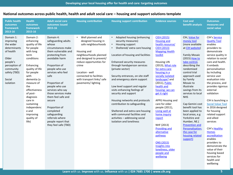| <b>Public health</b><br>outcomes<br>framework<br>2013-16                                                                                                   | <b>Health</b><br>outcomes<br>framework<br>2015-16                                                                                                                                                                                                                                                                   | <b>Adult social care</b><br>outcomes issued<br>2015-16                                                                                                                                                                                                                                                                                                                                                                   | <b>Housing contribution</b>                                                                                                                                                                                                                                                              | <b>Housing support contribution</b>                                                                                                                                                                                                                                                                                                                                                                                                                                                                                                                                                                                 | <b>Evidence sources</b>                                                                                                                                                                                                                                                                                                                                                                                                                                                                                                                                   | <b>Cost and</b><br>benefit analysis                                                                                                                                                                                                                                                                                                                                                                                                                                                                      | <b>Outcomes</b><br>measures and<br>social value                                                                                                                                                                                                                                                                                                                                                                                                                                                                                                                                           |
|------------------------------------------------------------------------------------------------------------------------------------------------------------|---------------------------------------------------------------------------------------------------------------------------------------------------------------------------------------------------------------------------------------------------------------------------------------------------------------------|--------------------------------------------------------------------------------------------------------------------------------------------------------------------------------------------------------------------------------------------------------------------------------------------------------------------------------------------------------------------------------------------------------------------------|------------------------------------------------------------------------------------------------------------------------------------------------------------------------------------------------------------------------------------------------------------------------------------------|---------------------------------------------------------------------------------------------------------------------------------------------------------------------------------------------------------------------------------------------------------------------------------------------------------------------------------------------------------------------------------------------------------------------------------------------------------------------------------------------------------------------------------------------------------------------------------------------------------------------|-----------------------------------------------------------------------------------------------------------------------------------------------------------------------------------------------------------------------------------------------------------------------------------------------------------------------------------------------------------------------------------------------------------------------------------------------------------------------------------------------------------------------------------------------------------|----------------------------------------------------------------------------------------------------------------------------------------------------------------------------------------------------------------------------------------------------------------------------------------------------------------------------------------------------------------------------------------------------------------------------------------------------------------------------------------------------------|-------------------------------------------------------------------------------------------------------------------------------------------------------------------------------------------------------------------------------------------------------------------------------------------------------------------------------------------------------------------------------------------------------------------------------------------------------------------------------------------------------------------------------------------------------------------------------------------|
| Domain 1:<br>improving<br>the wider<br>determinants<br>of health<br>Older<br>people's<br>perception of<br>community<br>safety (TBD)<br>Social<br>isolation | Domain 2:<br>enhancing<br>quality of life<br>for people<br>with long<br>term<br>conditions<br>Enhancing<br>quality of life<br>for people<br>with<br>dementia (a<br>measure of<br>the<br>effectiveness<br>of post-<br>diagnosis<br>care in<br>sustaining<br>independenc<br>e and<br>improving<br>quality of<br>life) | Domain 4:<br>safeguarding adults<br>whose<br>circumstances make<br>them vulnerable and<br>protecting from<br>avoidable harm<br>Proportion of<br>people who use<br>services who feel<br>safe<br>Proportion of<br>people who use<br>services who say<br>those services make<br>them feel safe and<br>secure<br>Proportion of<br>completed<br>safeguarding<br>referrals where<br>people report that<br>they feel safe (TBD) | Well planned and<br>$\bullet$<br>designed housing in<br>safe neighbourhoods<br>Housing and<br>neighbourhoods planned<br>and designed to prevent/<br>reduce opportunities for<br>crime<br>Location - well<br>connected to facilities<br>with transport links/ safe<br>pavements/ lighting | • Adapted housing (enhancing<br>security measures)<br>Housing support<br>Sheltered/ extra care housing<br>$\bullet$<br>Location of housing and facilities<br><b>Enhanced security measures</b><br>through handyperson services<br>(private sector)<br>Security entrances, on site staff<br>and emergency alarm support<br>Low level support and regular<br>visits enhancing feelings of<br>security and support<br>Housing networks and protocols<br>contribution to safeguarding<br>Sheltered and extra care housing<br>with communal facilities and<br>activities - addressing social<br>isolation and loneliness | <b>CIEH (2015)</b><br><b>Housing and</b><br>health resource/<br><b>CIEH (2013)</b><br><b>Mapping Health</b><br>toolkit<br>Housing LIN<br>(2013), What role<br>for extra care<br>housing in a<br>socially isolated<br>landscape? and<br>(2011), Public<br>health and<br>housing: we can<br>get it right<br>APPG Housing and<br>care for older<br>people (2011),<br>Living well at<br>home inquiry<br>report<br>NHF (2013)<br>Providing and<br>alternative<br>pathway<br><b>ONS (2015)</b><br>Insights into<br>loneliness, older<br>people and<br>wellbeing | CIH, Value for<br>money tool<br>(more available<br>at CIH website)<br><b>Family Mosaic</b><br>(2015) How to<br>take control.<br>describing the<br>randomised<br>control trial<br>approach used<br>by Family<br>Mosaic to<br>illustrate<br>savings from its<br>services to local<br><b>NHS</b><br>Cap Gemini cost<br>benefit tool has<br>been applied to<br>local areas, e.g<br>Yorkshire and<br>Humber, NE.(<br><b>Prevention and</b><br>Personalisation:<br>the case for<br>housing related<br>support) | CIH's Service<br><b>Quality Tool</b><br>enables<br>providers to<br>demonstrate<br>service quality in<br>relation to social<br>care and health.<br>It embeds<br>personalisation<br>by including<br>service user<br>evaluation into<br>the process, and<br>provides rigorous<br>external<br>validation<br>CIH is launching a<br><b>Social Value Tool</b><br>in 2016 designed<br>for housing<br>related support<br>and allied<br>services<br>CIH's Healthy<br><b>Homes</b><br>accreditation<br>enables<br>providers to<br>demonstrate the<br>value of their<br>housing based<br>services for |

**Learn** with us. **Improve** with us. **Influence** with us **| 024 7685 1700 | www.cih.org**

health and wellbeing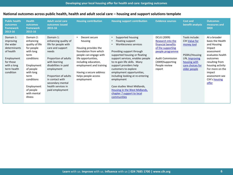| <b>Public health</b><br>outcomes<br>framework<br>2013-16                                                                               | <b>Health</b><br>outcomes<br>framework<br>2015-16                                                                                                                                                             | <b>Adult social care</b><br>outcomes issued<br>2015-16                                                                                                                                                                                                                        | <b>Housing contribution</b>                                                                                                                                                                                                                   | <b>Housing support contribution</b>                                                                                                                                                                                                                                                                                                                                                                                                                         | <b>Evidence sources</b>                                                                                                                                                   | <b>Cost and</b><br>benefit analysis                                                                                                  | <b>Outcomes</b><br>measures and<br><b>SROI</b>                                                                                                                                                                                |
|----------------------------------------------------------------------------------------------------------------------------------------|---------------------------------------------------------------------------------------------------------------------------------------------------------------------------------------------------------------|-------------------------------------------------------------------------------------------------------------------------------------------------------------------------------------------------------------------------------------------------------------------------------|-----------------------------------------------------------------------------------------------------------------------------------------------------------------------------------------------------------------------------------------------|-------------------------------------------------------------------------------------------------------------------------------------------------------------------------------------------------------------------------------------------------------------------------------------------------------------------------------------------------------------------------------------------------------------------------------------------------------------|---------------------------------------------------------------------------------------------------------------------------------------------------------------------------|--------------------------------------------------------------------------------------------------------------------------------------|-------------------------------------------------------------------------------------------------------------------------------------------------------------------------------------------------------------------------------|
| Domain 1:<br>improving<br>the wider<br>determinants<br>of health<br>Employment<br>for those<br>with a long<br>term health<br>condition | Domain 2:<br>enhancing<br>quality of life<br>for people<br>with long<br>term<br>conditions<br>Employment<br>of people<br>with long<br>term<br>conditions<br>Employment<br>of people<br>with mental<br>illness | Domain 1:<br>enhancing quality of<br>life for people with<br>care and support<br>needs<br>Proportion of adults<br>with learning<br>disabilities in paid<br>employment<br>Proportion of adults<br>in contact with<br>secondary mental<br>health services in<br>paid employment | Decent secure<br>housing<br>Housing provides the<br>foundation from which<br>people can engage with<br>life opportunities,<br>including education,<br>employment and training<br>Having a secure address<br>helps people access<br>employment | Supported housing<br>Floating support<br>$\bullet$<br>Worklessness services<br>Providing support through<br>supported housing or floating<br>support services, enables people<br>to re-gain life skills. Many<br>support providers help<br>customers to explore<br>employment opportunities,<br>including looking at re-entering<br>employment<br>Case studies West Midlands,<br>Housing in the West Midlands,<br>chapter 7 support to local<br>communities | DCLG (2009)<br>Research into the<br>financial benefits<br>of the supporting<br>people programme<br><b>Audit Commission</b><br>(2009)Supporting<br>People review<br>report | Tools include:<br>CIH Value for<br>money tool<br>PSSRU/Housing<br>LIN, Improving<br>housing with<br>care choices for<br>older people | At a broader<br>basis the Health<br>and Housing<br>Impact<br>assessment<br>evaluates health<br>outcomes<br>resulting from<br>housing activity<br>For more on the<br>impact<br>assessment see<br>CIH's housing<br><u>offer</u> |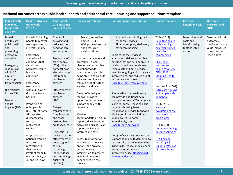| <b>Public health</b><br>outcomes<br>framework<br>2013-16                                                                                                                                                                                            | <b>Health outcomes</b><br>framework<br>2015-16                                                                                                                                                                                                                                                                                                                                                                                                                                                                                                                    | <b>Adult social</b><br>care outcomes<br><b>issued 2015-16</b>                                                                                                                                                                                                                                                                                                                                                                                                                                                                          | <b>Housing contribution</b>                                                                                                                                                                                                                                                                                                                                                                                                                                                                                                                                                                                                                                                                                                                                                                    | <b>Housing support contribution</b>                                                                                                                                                                                                                                                                                                                                                                                                                                                                                                                                                                                                                                                                                                                                                                                                                                                                                                                                       | <b>Evidence sources</b>                                                                                                                                                                                                                                                                                                                                                                                                                                                                                                                                | <b>Cost and</b><br>benefit analysis                                        | <b>Outcomes</b><br>measures and<br><b>SROI</b>                                                         |
|-----------------------------------------------------------------------------------------------------------------------------------------------------------------------------------------------------------------------------------------------------|-------------------------------------------------------------------------------------------------------------------------------------------------------------------------------------------------------------------------------------------------------------------------------------------------------------------------------------------------------------------------------------------------------------------------------------------------------------------------------------------------------------------------------------------------------------------|----------------------------------------------------------------------------------------------------------------------------------------------------------------------------------------------------------------------------------------------------------------------------------------------------------------------------------------------------------------------------------------------------------------------------------------------------------------------------------------------------------------------------------------|------------------------------------------------------------------------------------------------------------------------------------------------------------------------------------------------------------------------------------------------------------------------------------------------------------------------------------------------------------------------------------------------------------------------------------------------------------------------------------------------------------------------------------------------------------------------------------------------------------------------------------------------------------------------------------------------------------------------------------------------------------------------------------------------|---------------------------------------------------------------------------------------------------------------------------------------------------------------------------------------------------------------------------------------------------------------------------------------------------------------------------------------------------------------------------------------------------------------------------------------------------------------------------------------------------------------------------------------------------------------------------------------------------------------------------------------------------------------------------------------------------------------------------------------------------------------------------------------------------------------------------------------------------------------------------------------------------------------------------------------------------------------------------|--------------------------------------------------------------------------------------------------------------------------------------------------------------------------------------------------------------------------------------------------------------------------------------------------------------------------------------------------------------------------------------------------------------------------------------------------------------------------------------------------------------------------------------------------------|----------------------------------------------------------------------------|--------------------------------------------------------------------------------------------------------|
| Domain 4:<br>health care,<br>public health<br>and<br>preventing<br>premature<br>mortality<br>Emergency<br>readmission<br>within 30<br>days of<br>discharge<br>from hospital<br>Hip fractures<br>in over 65s<br>Dementia<br>and its<br>impacts (TBD) | Domain 3: helping<br>people to recover<br>from episodes of<br>ill health/ injury<br>Emergency<br>admissions for<br>conditions that<br>should not<br>normally require<br>hospital<br>admission<br>Emergency<br>readmission<br>within 30 days of<br>discharge from<br>hospital<br>Proportion of<br>older people<br>(65+) still at home<br>91 days after<br>discharge into<br>rehab/<br>reablement<br>services<br>Proportion of<br>patients with hip<br>fractures<br>recovering to<br>their previous<br>levels of mobility/<br>walking ability at<br>30 and 120 days | Domain 2:<br>delaying and<br>reducing the<br>need for care<br>and support<br>Proportion of<br>older people<br>$(65+)$ still at<br>home 91 days<br>after discharge<br>into rehab/<br>reablement<br>services<br>Effectiveness of<br>reablement<br>services<br>(TBD)<br>Delayed<br>transfer of care<br>from hospital,<br>and those<br>attributable to<br>adult social care<br>Dementia $-$ a<br>measure of the<br>effectiveness of<br>post-diagnosis<br>care in<br>sustaining<br>independence<br>and improving<br>quality of<br>life(TBD) | Decent, accessible<br>$\bullet$<br>homes (LHS)<br>Well planned, secure<br>$\bullet$<br>and accessible<br>neighbourhood<br>Housing that is safe and<br>accessible, in well<br>planned and accessible<br>neighbourhoods<br>contributes to people<br>being able to re-gain life<br>skills and confidence,<br>reduces risks of further<br>accidents and falls<br>Design of housing or<br>renewal provides<br>opportunities to tailor to<br>support people with<br>dementia<br>Move-on<br>accommodation - e.g. in<br>supported, sheltered or<br>extra care housing - can<br>support delivery of<br>intermediate care<br>Access to information<br>and advice on housing<br>options can provide<br>better housing<br>intervention to prevent<br>increased need for/<br>dependence on care<br>services | • Adaptations including rapid<br>response services<br>Floating support/ sheltered/<br>$\bullet$<br>extra care housing<br>Rapid response services/<br>adaptations deliver accessible<br>housing that can help people to<br>be discharged in a timely way,<br>remain safe at home, reduce<br>need for ongoing and costly care<br>interventions, and reduce risk of<br>further accidents, see:<br>Hospital2Home resource pack<br>Sheltered/ extra care housing<br>can provide additional help<br>through on site staff/emergency<br>alarm response. These can also<br>provide a housing based<br>rehabilitation service for people<br>discharged from hospital but<br>unable to return home<br>immediately, see:<br>Hospital care pathways<br>Design of specialist housing can<br>support people with dementia to<br>remain safe, retain independent<br>living skills, reduce or delay need<br>for more intensive care<br>intervention, see: Housing and<br>dementia: design | <b>TCPA (2012)</b><br><b>Reuniting health</b><br>with planning:<br>healthier homes,<br>healthier<br>communities<br><b>CIEH (2015)</b><br><b>Housing and</b><br>health resource/<br><b>CIEH (2013)</b><br><b>Mapping Health</b><br>toolkit<br>Housing 21 (2009),<br><b>Extra care housing</b><br>and people with<br>dementia<br>DCLG (2012),<br><b>National</b><br>evaluation of the<br>handyperson<br>programme<br>NHF (2013),<br>Dementia: finding<br>housing solutions<br><b>NHS England</b><br>(2015) Quick<br>Guide: better use<br>of care at home | Determine local<br>costs and<br>benefits using<br>tools as listed<br>above | Determine local<br>outcomes,<br>quality and social<br>value measures<br>using tools as<br>listed above |

**Learn** with us. **Improve** with us. **Influence** with us **| 024 7685 1700 | www.cih.org**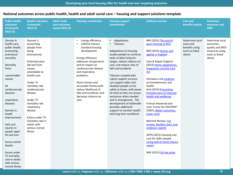| <b>Public health</b><br>outcomes<br>framework<br>2013-16                                                                                                                                                                                                                                                                                                                                                                 | <b>Health outcomes</b><br>framework<br>2015-16                                                                                                                                                                                                                                                                                                      | <b>Adult social</b><br>care outcomes<br><b>issued 2015-16</b> | <b>Housing contribution</b>                                                                                                                                                                                                                                                                                                         | <b>Housing support</b><br>contribution                                                                                                                                                                                                                                                                                                                                                                                                                                                                                                | <b>Evidence sources</b>                                                                                                                                                                                                                                                                                                                                                                                                                                                                                                                                                                                                          | <b>Cost and</b><br>benefit analysis                                        | <b>Outcomes</b><br>measures and<br><b>SROI</b>                                                 |
|--------------------------------------------------------------------------------------------------------------------------------------------------------------------------------------------------------------------------------------------------------------------------------------------------------------------------------------------------------------------------------------------------------------------------|-----------------------------------------------------------------------------------------------------------------------------------------------------------------------------------------------------------------------------------------------------------------------------------------------------------------------------------------------------|---------------------------------------------------------------|-------------------------------------------------------------------------------------------------------------------------------------------------------------------------------------------------------------------------------------------------------------------------------------------------------------------------------------|---------------------------------------------------------------------------------------------------------------------------------------------------------------------------------------------------------------------------------------------------------------------------------------------------------------------------------------------------------------------------------------------------------------------------------------------------------------------------------------------------------------------------------------|----------------------------------------------------------------------------------------------------------------------------------------------------------------------------------------------------------------------------------------------------------------------------------------------------------------------------------------------------------------------------------------------------------------------------------------------------------------------------------------------------------------------------------------------------------------------------------------------------------------------------------|----------------------------------------------------------------------------|------------------------------------------------------------------------------------------------|
| Domain 4:<br>health care,<br>public health,<br>preventing<br>premature<br>mortality<br>Mortality<br>from:<br>preventable<br>causes<br>all<br>cardiovascular<br>diseases<br>respiratory<br>diseases<br>Domain 2:<br>health<br>improvement<br>Falls and<br>injuries in<br>people aged<br>65 and over<br><b>Excess winter</b><br>deaths<br>Excess under<br>75 mortality<br>rate in adults<br>with serious<br>mental illness | Domain 1:<br>preventing<br>people from<br>dying<br>prematurely<br>Potential years<br>life lost from<br>causes<br>amendable to<br>health care<br>Under 75<br>mortality rate<br>cardiovascular<br>disease<br>Under 75<br>mortality rate<br>respiratory<br>disease<br>Excess under 75<br>mortality rate in<br>adults with<br>serious mental<br>illness |                                                               | Energy efficiency<br>Lifetime Homes<br>standard housing<br>development<br>Energy efficiency<br>addresses temperature<br>and its impact on<br>cardiovascular disease<br>and respiratory<br>problems.<br>Warm homes and<br>accessible homes both<br>reduce likelihood of<br>falls and accidents, and<br>decrease reliance on<br>care. | • Adaptations<br>Telecare<br>Adaptations to housing<br>enable people to continue<br>tasks of daily living for<br>longer, reduce reliance on<br>care, and reduce risks of<br>falls and accidents<br>Telecare coupled with<br>robust support services<br>can support older and<br>disabled people to live<br>safely at home, with peace<br>of mind as they can access<br>assistance when needed<br>and in emergencies. The<br>development of telehealth<br>provides additional<br>support to monitor health<br>and long term conditions | BRE (2015) The cost of<br>poor housing to NHS<br>BRE (2015) Homes and<br>ageing in England<br>Care & Repair England<br>(2015) Home adaptations,<br>integration and the Care<br><b>Act</b><br>Homeless Link evidence<br>on homelessness and<br>health<br>And (2015) Preventing<br>homelessness to improve<br>health and wellbeing<br>Frances Heywood and<br>Lynn Turner for ODI/DWP<br>(2007), Better outcomes,<br>lower costs<br>Marmot Review, Fair<br>society, Healthy Lives, and<br>evidence reports<br>APPG (2011) Housing and<br>care for older people,<br>Living well at home inquiry<br>report<br>NHF (2012) On the pulse | Determine local<br>costs and<br>benefits using<br>tools as listed<br>above | Determine local<br>outcomes,<br>quality and SROI<br>measures using<br>tools as listed<br>above |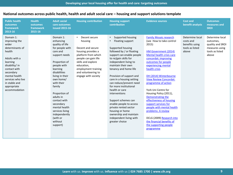| <b>Public health</b><br>outcomes<br>framework<br>2013-16                                                                                                                                                                            | <b>Health</b><br>outcomes<br>framework<br>2015-16 | <b>Adult social</b><br>care outcomes<br><b>issued 2015-16</b>                                                                                                                                                                                                                                                                                                    | <b>Housing contribution</b>                                                                                                                                                                                                 | <b>Housing support</b><br>contribution                                                                                                                                                                                                                                                                                                                                                                                                                                                                                                                   | <b>Evidence sources</b>                                                                                                                                                                                                                                                                                                                                                                                                                                                                                                                                                       | <b>Cost and</b><br>benefit analysis                                        | <b>Outcomes</b><br>measures and<br><b>SROI</b>                                                 |
|-------------------------------------------------------------------------------------------------------------------------------------------------------------------------------------------------------------------------------------|---------------------------------------------------|------------------------------------------------------------------------------------------------------------------------------------------------------------------------------------------------------------------------------------------------------------------------------------------------------------------------------------------------------------------|-----------------------------------------------------------------------------------------------------------------------------------------------------------------------------------------------------------------------------|----------------------------------------------------------------------------------------------------------------------------------------------------------------------------------------------------------------------------------------------------------------------------------------------------------------------------------------------------------------------------------------------------------------------------------------------------------------------------------------------------------------------------------------------------------|-------------------------------------------------------------------------------------------------------------------------------------------------------------------------------------------------------------------------------------------------------------------------------------------------------------------------------------------------------------------------------------------------------------------------------------------------------------------------------------------------------------------------------------------------------------------------------|----------------------------------------------------------------------------|------------------------------------------------------------------------------------------------|
| Domain 1:<br>improving the<br>wider<br>determinants of<br>health<br>Adults with a<br>learning<br>disability/ in<br>contact with<br>secondary<br>mental health<br>services who live<br>in stable and<br>appropriate<br>accommodation |                                                   | Domain 1:<br>enhancing<br>quality of life<br>for people with<br>care and<br>support needs<br>Proportion of<br>people with<br>learning<br>disabilities<br>living in their<br>own home/<br>with their<br>family<br>Proportion of<br>adults in<br>contact with<br>secondary<br>mental health<br>services living<br>independently<br>(with or<br>without<br>support) | Decent secure<br>housing<br>Decent and secure<br>housing provides a<br>platform from which<br>people can gain life<br>skills and explore<br>education,<br>employment training<br>and volunteering to<br>engage with society | Supported housing<br>$\bullet$<br>Floating support<br>Supported housing<br>followed by / or floating<br>support can enable people<br>to re/gain skills for<br>independent living to<br>maintain their own<br>tenancy and home life<br>Provision of support and<br>care in a housing setting<br>can reduce/prevent need<br>for more institutional<br>health or care<br>interventions<br>Support schemes can<br>enable people to access<br>private rented sector<br>housing or home<br>ownership and maintain<br>independent living with<br>greater choice | <b>Family Mosaic research</b><br>(see How to take control<br>2015)<br>HM Government (2014)<br>Mental health crisis care<br>concordat: improving<br>outcomes for people<br>experiencing mental<br>health crisis<br>DH (2014) Winterbourne<br><b>View Review Concordat:</b><br>programme of action<br>York Uni Centre for<br>Housing Policy (2011),<br>Demonstrating the<br>effectiveness of housing<br>support services for<br>people with mental health<br>problems: A review<br>DCLG (2009) Research into<br>the financial benefits of<br>the supporting people<br>programme | Determine local<br>costs and<br>benefits using<br>tools as listed<br>above | Determine local<br>outcomes,<br>quality and SROI<br>measures using<br>tools as listed<br>above |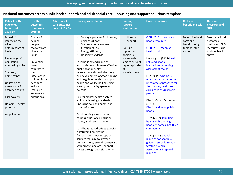| <b>Public health</b><br>outcomes<br>framework<br>2013-16                                                                                                                                                                                                                     | <b>Health</b><br>outcomes<br>framework<br>2015-16                                                                                                                                                                           | <b>Adult social</b><br>care outcomes<br><b>issued 2015-16</b> | <b>Housing constribution</b>                                                                                                                                                                                                                                                                                                                                                                                                                                                                                                                                                                                                                                                                                                                                                                                                                                                                                                                         | <b>Housing</b><br>support<br>contribution                                                                                                      | <b>Evidence sources</b>                                                                                                                                                                                                                                                                                                                                                                                                                                                                                                                                                                                                                                                                              | <b>Cost and</b><br>benefit analysis                                        | <b>Outcomes</b><br>measures and<br><b>SROI</b>                                                 |
|------------------------------------------------------------------------------------------------------------------------------------------------------------------------------------------------------------------------------------------------------------------------------|-----------------------------------------------------------------------------------------------------------------------------------------------------------------------------------------------------------------------------|---------------------------------------------------------------|------------------------------------------------------------------------------------------------------------------------------------------------------------------------------------------------------------------------------------------------------------------------------------------------------------------------------------------------------------------------------------------------------------------------------------------------------------------------------------------------------------------------------------------------------------------------------------------------------------------------------------------------------------------------------------------------------------------------------------------------------------------------------------------------------------------------------------------------------------------------------------------------------------------------------------------------------|------------------------------------------------------------------------------------------------------------------------------------------------|------------------------------------------------------------------------------------------------------------------------------------------------------------------------------------------------------------------------------------------------------------------------------------------------------------------------------------------------------------------------------------------------------------------------------------------------------------------------------------------------------------------------------------------------------------------------------------------------------------------------------------------------------------------------------------------------------|----------------------------------------------------------------------------|------------------------------------------------------------------------------------------------|
| Domain 1:<br>improving the<br>wider<br>determinants of<br>health<br>Percentage of<br>population<br>affected by noise<br>Statutory<br>homelessness<br>Utilisation of<br>green space for<br>exercise/health<br>Fuel poverty<br>Domain 3: health<br>protection<br>Air pollution | Domain 3:<br>helping<br>people to<br>recover from<br>ill health/<br>injury<br>Preventing<br>lower<br>respiratory<br>tract<br>infections in<br>children from<br>becoming<br>serious<br>(reducing<br>emergency<br>admissions) |                                                               | Strategic planning for housing/<br>$\bullet$<br>neighbourhoods<br><b>Statutory homelessness</b><br>$\bullet$<br>function of LAs<br>Energy efficiency<br>$\bullet$<br>Housing standards<br>٠<br>Local housing and planning<br>authorities contribute to effective<br>public health/ health<br>interventions through the design<br>and development of good housing<br>and neighbourhoods that support<br>health and wellbeing (including<br>green / community space for<br>exercise)<br>Environmental health enables<br>action on housing standards<br>(including cold and damp) and<br>issues of noise<br>Good housing standards help to<br>address issues of air pollution<br>(damp/ mold etc) in homes<br>Local housing authorities exercise<br>a statutory homelessness<br>function, with housing options<br>services that aim to prevent<br>homelessness, extend partnership<br>with private landlords, support<br>access through deposit schemes | Housing<br>$\bullet$<br>support<br>Housing<br>support to<br>homeless<br>households<br>aims to prevent<br>repeat episodes<br>of<br>homelessness | CIEH (2015) Housing and<br>health resource/<br>CIEH (2013) Mapping<br><b>Health toolkit</b><br>Housing LIN (2015) Health<br>risks and health<br>inequalities in housing:<br>assessment toolkit<br>LGA (2015) A home is<br>much more than a house:<br>integrated approaches for<br>the housing, health and<br>care needs of vulnerable<br>people<br><b>District Council's Network</b><br>$(2013)$ ,<br>District action on public<br>health<br>TCPA (2012) Reuniting<br>health with planning:<br>healthier homes, healthier<br>communities<br><b>TCPA (2010), Spatial</b><br>planning for health: a<br>guide to embedding Joint<br><b>Strategic Needs</b><br><b>Assessments in spatial</b><br>planning | Determine local<br>costs and<br>benefits using<br>tools as listed<br>above | Determine local<br>outcomes,<br>quality and SROI<br>measures using<br>tools as listed<br>above |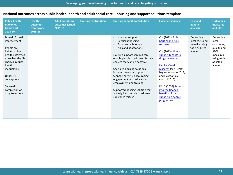| <b>Public health</b><br>outcomes<br>framework<br>2013-16                                                                                                                                                                             | <b>Health</b><br>outcomes<br>framework<br>2015-16 | <b>Adult social care</b><br>outcomes issued<br>2015-16 | <b>Housing contribution</b> | <b>Housing support contribution</b>                                                                                                                                                                                                                                                                                                                                                                                                                                                               | <b>Evidence sources</b>                                                                                                                                                                                                                                                                                                          | <b>Cost and</b><br>benefit<br>analysis                                     | <b>Outcomes</b><br>measures<br>and SROI                                                                 |
|--------------------------------------------------------------------------------------------------------------------------------------------------------------------------------------------------------------------------------------|---------------------------------------------------|--------------------------------------------------------|-----------------------------|---------------------------------------------------------------------------------------------------------------------------------------------------------------------------------------------------------------------------------------------------------------------------------------------------------------------------------------------------------------------------------------------------------------------------------------------------------------------------------------------------|----------------------------------------------------------------------------------------------------------------------------------------------------------------------------------------------------------------------------------------------------------------------------------------------------------------------------------|----------------------------------------------------------------------------|---------------------------------------------------------------------------------------------------------|
| Domain 2: health<br>improvement<br>People are<br>helped to live<br>healthy lifestyles,<br>make healthy life<br>choices, reduce<br>health<br>inequalities<br>Under 18<br>conceptions<br>Successful<br>completion of<br>drug treatment |                                                   |                                                        |                             | Housing support<br>$\bullet$<br>Specialist housing<br>$\bullet$<br>Assistive technology<br>$\bullet$<br>Aids and adaptations<br>$\bullet$<br>Housing support services can<br>enable people to address lifestyle<br>choices that can be negative.<br>Specialist housing solutions<br>include those that support<br>teenage parents, encouraging<br>engagement with education,<br>employment and training<br>Supported housing solution that<br>actively help people to address<br>substance misuse | CIH (2012), Role of<br>housing in drugs<br>recovery<br>CIH (2013), How to<br>support tenants in<br>drugs recovery<br><b>Family Mosaic</b><br>research (see Health<br>begins at Home 2013,<br>and How to take<br>control 2015)<br>DCLG (2009) Research<br>into the financial<br>benefits of the<br>supporting people<br>programme | Determine<br>local costs and<br>benefits using<br>tools as listed<br>above | Determine<br>local<br>outcomes,<br>quality and<br>SROI<br>measures<br>using tools<br>as listed<br>above |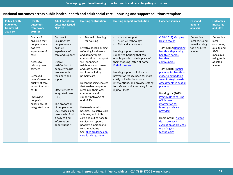| <b>Public health</b><br>outcomes<br>framework<br>2013-16 | <b>Health</b><br>outcomes<br>framework<br>2015-16                                                                                                                                                                                                                        | <b>Adult social care</b><br>outcomes issued<br>2015-16                                                                                                                                                                                                                                                                                                                    | <b>Housing contribution</b>                                                                                                                                                                                                                                                                                                                                                                                                                                                                                                                                                                                               | <b>Housing support contribution</b>                                                                                                                                                                                                                                                                                                                                                                                                                          | <b>Evidence sources</b>                                                                                                                                                                                                                                                                                                                                                                                                                                                                                                               | <b>Cost and</b><br>benefit<br>analysis                                     | <b>Outcomes</b><br>measures<br>and SROI                                                                 |
|----------------------------------------------------------|--------------------------------------------------------------------------------------------------------------------------------------------------------------------------------------------------------------------------------------------------------------------------|---------------------------------------------------------------------------------------------------------------------------------------------------------------------------------------------------------------------------------------------------------------------------------------------------------------------------------------------------------------------------|---------------------------------------------------------------------------------------------------------------------------------------------------------------------------------------------------------------------------------------------------------------------------------------------------------------------------------------------------------------------------------------------------------------------------------------------------------------------------------------------------------------------------------------------------------------------------------------------------------------------------|--------------------------------------------------------------------------------------------------------------------------------------------------------------------------------------------------------------------------------------------------------------------------------------------------------------------------------------------------------------------------------------------------------------------------------------------------------------|---------------------------------------------------------------------------------------------------------------------------------------------------------------------------------------------------------------------------------------------------------------------------------------------------------------------------------------------------------------------------------------------------------------------------------------------------------------------------------------------------------------------------------------|----------------------------------------------------------------------------|---------------------------------------------------------------------------------------------------------|
|                                                          | Domain 4:<br>ensuring that<br>people have a<br>positive<br>experience of<br>care<br>Access to<br>primary care<br>services<br>Bereaved<br>carers' views on<br>quality of care<br>in last 3 months<br>of life<br>Improving<br>people's<br>experience of<br>integrated care | Domain 3:<br>Ensuring that<br>people have a<br>positive<br>experience of<br>care and support<br>Overall<br>satisfaction of<br>people who use<br>services with<br>their care and<br>support<br>Effectiveness of<br>integrated care<br>(TBD)<br>The proportion<br>of people who<br>use services, and<br>carers, who find<br>it easy to find<br>information<br>about support | Strategic planning<br>$\bullet$<br>for housing<br>Effective local planning<br>reflecting local needs<br>and demographic<br>composition to support<br>well connected<br>neighbourhoods (easy<br>and safe access to<br>facilities including<br>primary care)<br>Decent housing choices<br>that enable people to<br>remain in their local<br>community and<br>support networks at<br>end of life<br>Partnerships with<br>hospices, palliative care<br>at home, end of life<br>care and out of hospital<br>services ca support<br>people's ambitions to<br>remain at home<br>See: Nice guidelines on<br>care for dying adults | $\bullet$<br>Housing support<br>Assistive technology<br>$\bullet$<br>Aids and adaptations<br>$\bullet$<br>Housing support services/<br>supported housing that can<br>enable people to die in place of<br>their choosing (often at home):<br>End of Life care<br>Housing support solutions can<br>prevent or reduce need for more<br>costly or institutional care<br>interventions, and provide setting<br>for safe and quick recovery from<br>injury/illness | CIEH (2013) Mapping<br><b>Health toolkit</b><br>TCPA (2012) Reuniting<br>health with planning:<br>healthier homes,<br>healthier<br>communities<br>TCPA (2010), Spatial<br>planning for health: a<br>guide to embedding<br><b>Joint Strategic Needs</b><br><b>Assessments in spatial</b><br>planning<br>Housing LIN (2015)<br><b>Practice Briefing: End</b><br>of life care;<br>information for<br>housing and care<br>providers<br>Home Group, A good<br>death project /<br>evaluation of project's<br>use of digital<br>technologies | Determine<br>local costs and<br>benefits using<br>tools as listed<br>above | Determine<br>local<br>outcomes,<br>quality and<br>SROI<br>measures<br>using tools<br>as listed<br>above |